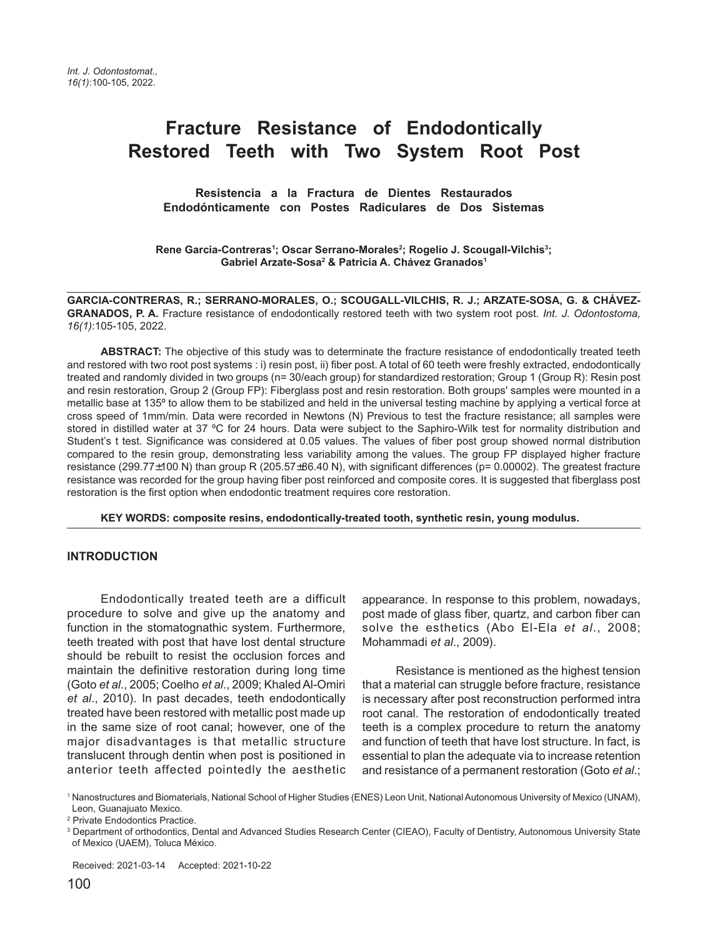# **Fracture Resistance of Endodontically Restored Teeth with Two System Root Post**

 **Resistencia a la Fractura de Dientes Restaurados Endodónticamente con Postes Radiculares de Dos Sistemas**

**Rene Garcia-Contreras1 ; Oscar Serrano-Morales2 ; Rogelio J. Scougall-Vilchis3 ; Gabriel Arzate-Sosa2 & Patricia A. Chávez Granados1**

**GARCIA-CONTRERAS, R.; SERRANO-MORALES, O.; SCOUGALL-VILCHIS, R. J.; ARZATE-SOSA, G. & CHÁVEZ-**GRANADOS, P. A. Fracture resistance of endodontically restored teeth with two system root post. Int. J. Odontostoma, 16(1):105-105, 2022.

**ABSTRACT:** The objective of this study was to determinate the fracture resistance of endodontically treated teeth and restored with two root post systems : i) resin post, ii) fiber post. A total of 60 teeth were freshly extracted, endodontically treated and randomly divided in two groups (n= 30/each group) for standardized restoration; Group 1 (Group R): Resin post and resin restoration, Group 2 (Group FP): Fiberglass post and resin restoration. Both groups' samples were mounted in a metallic base at 135º to allow them to be stabilized and held in the universal testing machine by applying a vertical force at cross speed of 1mm/min. Data were recorded in Newtons (N) Previous to test the fracture resistance; all samples were stored in distilled water at 37 ºC for 24 hours. Data were subject to the Saphiro-Wilk test for normality distribution and Student's t test. Significance was considered at 0.05 values. The values of fiber post group showed normal distribution compared to the resin group, demonstrating less variability among the values. The group FP displayed higher fracture resistance (299.77±100 N) than group R (205.57±86.40 N), with significant differences (p= 0.00002). The greatest fracture resistance was recorded for the group having fiber post reinforced and composite cores. It is suggested that fiberglass post restoration is the first option when endodontic treatment requires core restoration.

**KEY WORDS: composite resins, endodontically-treated tooth, synthetic resin, young modulus.**

#### **INTRODUCTION**

Endodontically treated teeth are a difficult procedure to solve and give up the anatomy and function in the stomatognathic system. Furthermore, teeth treated with post that have lost dental structure should be rebuilt to resist the occlusion forces and maintain the definitive restoration during long time (Goto et al., 2005; Coelho et al., 2009; Khaled Al-Omiri et al., 2010). In past decades, teeth endodontically treated have been restored with metallic post made up in the same size of root canal; however, one of the major disadvantages is that metallic structure translucent through dentin when post is positioned in anterior teeth affected pointedly the aesthetic appearance. In response to this problem, nowadays, post made of glass fiber, quartz, and carbon fiber can solve the esthetics (Abo El-Ela et al., 2008; Mohammadi et al., 2009).

Resistance is mentioned as the highest tension that a material can struggle before fracture, resistance is necessary after post reconstruction performed intra root canal. The restoration of endodontically treated teeth is a complex procedure to return the anatomy and function of teeth that have lost structure. In fact, is essential to plan the adequate via to increase retention and resistance of a permanent restoration (Goto et al.;

Received: 2021-03-14 Accepted: 2021-10-22

<sup>1</sup> Nanostructures and Biomaterials, National School of Higher Studies (ENES) Leon Unit, National Autonomous University of Mexico (UNAM), Leon, Guanajuato Mexico.

<sup>2</sup> Private Endodontics Practice.

<sup>3</sup> Department of orthodontics, Dental and Advanced Studies Research Center (CIEAO), Faculty of Dentistry, Autonomous University State of Mexico (UAEM), Toluca México.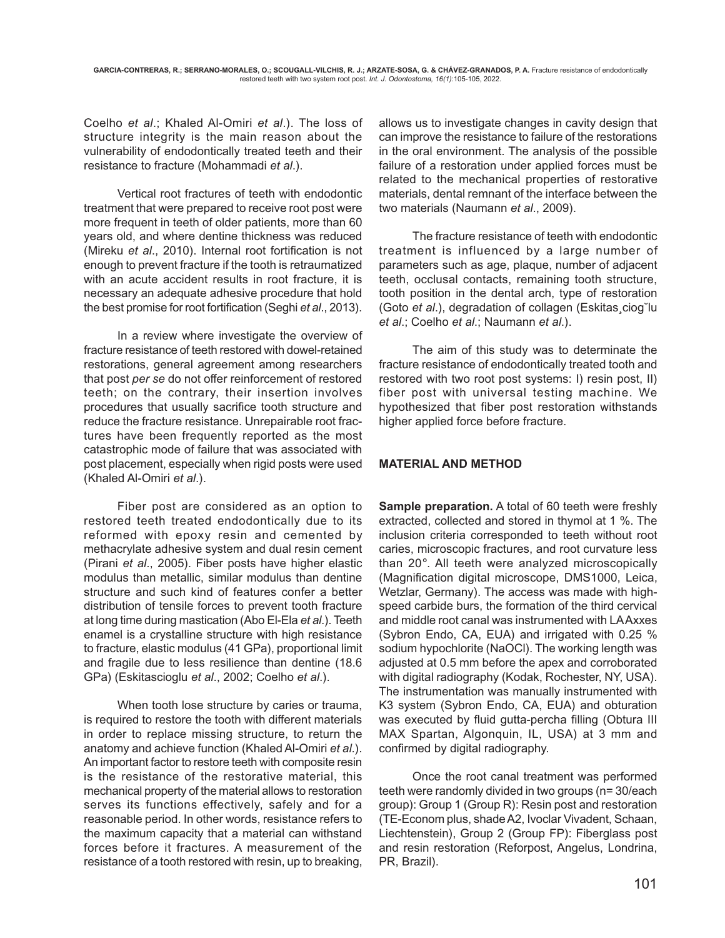Coelho et al.; Khaled Al-Omiri et al.). The loss of structure integrity is the main reason about the vulnerability of endodontically treated teeth and their resistance to fracture (Mohammadi et al.).

Vertical root fractures of teeth with endodontic treatment that were prepared to receive root post were more frequent in teeth of older patients, more than 60 years old, and where dentine thickness was reduced (Mireku et al., 2010). Internal root fortification is not enough to prevent fracture if the tooth is retraumatized with an acute accident results in root fracture, it is necessary an adequate adhesive procedure that hold the best promise for root fortification (Seghi et al., 2013).

In a review where investigate the overview of fracture resistance of teeth restored with dowel-retained restorations, general agreement among researchers that post per se do not offer reinforcement of restored teeth; on the contrary, their insertion involves procedures that usually sacrifice tooth structure and reduce the fracture resistance. Unrepairable root fractures have been frequently reported as the most catastrophic mode of failure that was associated with post placement, especially when rigid posts were used (Khaled Al-Omiri et al.).

Fiber post are considered as an option to restored teeth treated endodontically due to its reformed with epoxy resin and cemented by methacrylate adhesive system and dual resin cement (Pirani et al., 2005). Fiber posts have higher elastic modulus than metallic, similar modulus than dentine structure and such kind of features confer a better distribution of tensile forces to prevent tooth fracture at long time during mastication (Abo El-Ela et al.). Teeth enamel is a crystalline structure with high resistance to fracture, elastic modulus (41 GPa), proportional limit and fragile due to less resilience than dentine (18.6 GPa) (Eskitascioglu et al., 2002; Coelho et al.).

When tooth lose structure by caries or trauma, is required to restore the tooth with different materials in order to replace missing structure, to return the anatomy and achieve function (Khaled Al-Omiri et al.). An important factor to restore teeth with composite resin is the resistance of the restorative material, this mechanical property of the material allows to restoration serves its functions effectively, safely and for a reasonable period. In other words, resistance refers to the maximum capacity that a material can withstand forces before it fractures. A measurement of the resistance of a tooth restored with resin, up to breaking,

allows us to investigate changes in cavity design that can improve the resistance to failure of the restorations in the oral environment. The analysis of the possible failure of a restoration under applied forces must be related to the mechanical properties of restorative materials, dental remnant of the interface between the two materials (Naumann et al., 2009).

The fracture resistance of teeth with endodontic treatment is influenced by a large number of parameters such as age, plaque, number of adjacent teeth, occlusal contacts, remaining tooth structure, tooth position in the dental arch, type of restoration (Goto et al.), degradation of collagen (Eskitas¸ciog˘lu et al.; Coelho et al.; Naumann et al.).

The aim of this study was to determinate the fracture resistance of endodontically treated tooth and restored with two root post systems: I) resin post, II) fiber post with universal testing machine. We hypothesized that fiber post restoration withstands higher applied force before fracture.

## **MATERIAL AND METHOD**

**Sample preparation.** A total of 60 teeth were freshly extracted, collected and stored in thymol at 1 %. The inclusion criteria corresponded to teeth without root caries, microscopic fractures, and root curvature less than 20°. All teeth were analyzed microscopically (Magnification digital microscope, DMS1000, Leica, Wetzlar, Germany). The access was made with highspeed carbide burs, the formation of the third cervical and middle root canal was instrumented with LA Axxes (Sybron Endo, CA, EUA) and irrigated with 0.25 % sodium hypochlorite (NaOCl). The working length was adjusted at 0.5 mm before the apex and corroborated with digital radiography (Kodak, Rochester, NY, USA). The instrumentation was manually instrumented with K3 system (Sybron Endo, CA, EUA) and obturation was executed by fluid gutta-percha filling (Obtura III MAX Spartan, Algonquin, IL, USA) at 3 mm and confirmed by digital radiography.

Once the root canal treatment was performed teeth were randomly divided in two groups (n= 30/each group): Group 1 (Group R): Resin post and restoration (TE-Econom plus, shade A2, Ivoclar Vivadent, Schaan, Liechtenstein), Group 2 (Group FP): Fiberglass post and resin restoration (Reforpost, Angelus, Londrina, PR, Brazil).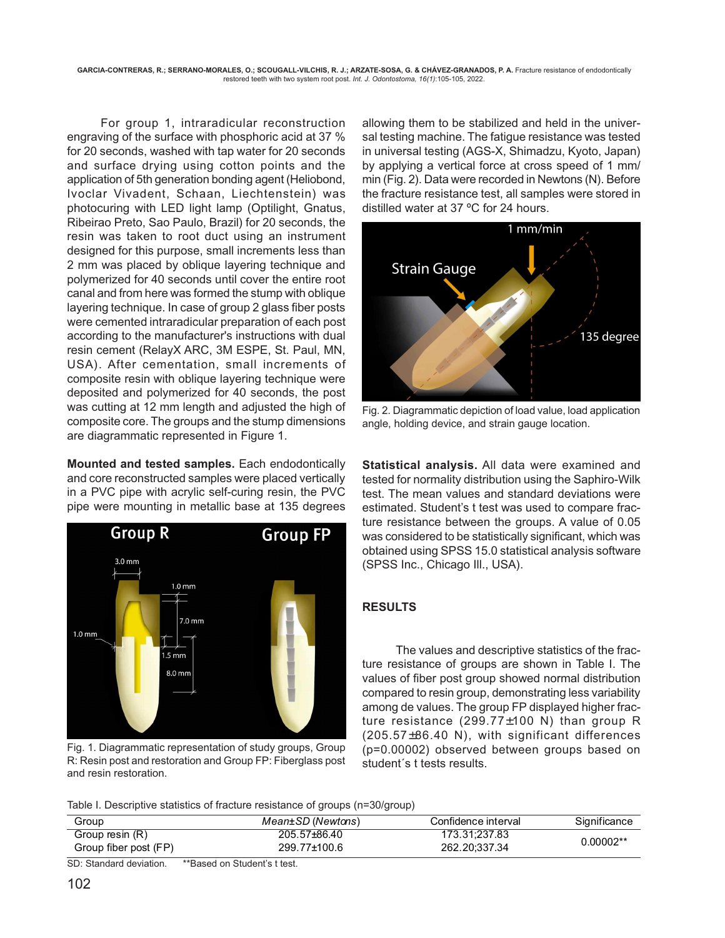**GARCIA-CONTRERAS, R.; SERRANO-MORALES, O.; SCOUGALL-VILCHIS, R. J.; ARZATE-SOSA, G. & CHÁVEZ-GRANADOS, P. A.** Fracture resistance of endodontically restored teeth with two system root post. Int. J. Odontostoma, 16(1):105-105, 2022.

For group 1, intraradicular reconstruction engraving of the surface with phosphoric acid at 37 % for 20 seconds, washed with tap water for 20 seconds and surface drying using cotton points and the application of 5th generation bonding agent (Heliobond, Ivoclar Vivadent, Schaan, Liechtenstein) was photocuring with LED light lamp (Optilight, Gnatus, Ribeirao Preto, Sao Paulo, Brazil) for 20 seconds, the resin was taken to root duct using an instrument designed for this purpose, small increments less than 2 mm was placed by oblique layering technique and polymerized for 40 seconds until cover the entire root canal and from here was formed the stump with oblique layering technique. In case of group 2 glass fiber posts were cemented intraradicular preparation of each post according to the manufacturer's instructions with dual resin cement (RelayX ARC, 3M ESPE, St. Paul, MN, USA). After cementation, small increments of composite resin with oblique layering technique were deposited and polymerized for 40 seconds, the post was cutting at 12 mm length and adjusted the high of composite core. The groups and the stump dimensions are diagrammatic represented in Figure 1.

**Mounted and tested samples.** Each endodontically and core reconstructed samples were placed vertically in a PVC pipe with acrylic self-curing resin, the PVC pipe were mounting in metallic base at 135 degrees



Fig. 1. Diagrammatic representation of study groups, Group R: Resin post and restoration and Group FP: Fiberglass post and resin restoration.

allowing them to be stabilized and held in the universal testing machine. The fatigue resistance was tested in universal testing (AGS-X, Shimadzu, Kyoto, Japan) by applying a vertical force at cross speed of 1 mm/ min (Fig. 2). Data were recorded in Newtons (N). Before the fracture resistance test, all samples were stored in distilled water at 37 ºC for 24 hours.



Fig. 2. Diagrammatic depiction of load value, load application angle, holding device, and strain gauge location.

**Statistical analysis.** All data were examined and tested for normality distribution using the Saphiro-Wilk test. The mean values and standard deviations were estimated. Student's t test was used to compare fracture resistance between the groups. A value of 0.05 was considered to be statistically significant, which was obtained using SPSS 15.0 statistical analysis software (SPSS Inc., Chicago Ill., USA).

## **RESULTS**

The values and descriptive statistics of the fracture resistance of groups are shown in Table I. The values of fiber post group showed normal distribution compared to resin group, demonstrating less variability among de values. The group FP displayed higher fracture resistance (299.77±100 N) than group R (205.57±86.40 N), with significant differences (p=0.00002) observed between groups based on student´s t tests results.

Table I. Descriptive statistics of fracture resistance of groups (n=30/group)

| Group                 | Mean±SD (Newtons) | Confidence interval | Significance |
|-----------------------|-------------------|---------------------|--------------|
| Group resin (R)       | 205.57±86.40      | 173.31:237.83       | $0.00002**$  |
| Group fiber post (FP) | 299.77±100.6      | 262.20:337.34       |              |

SD: Standard deviation. \*\*Based on Student's t test.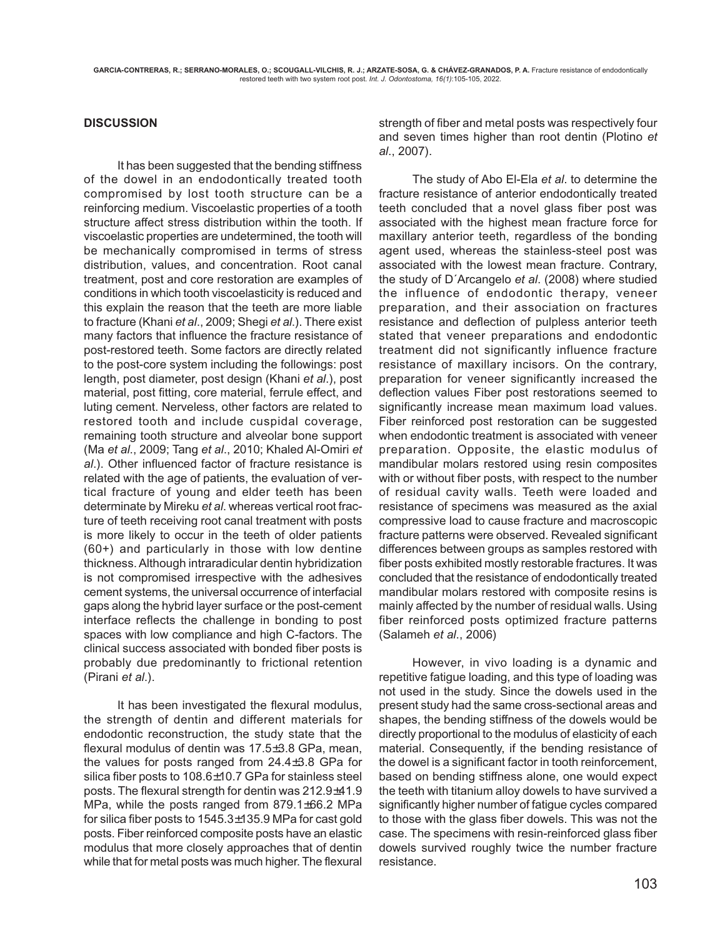### **DISCUSSION**

It has been suggested that the bending stiffness of the dowel in an endodontically treated tooth compromised by lost tooth structure can be a reinforcing medium. Viscoelastic properties of a tooth structure affect stress distribution within the tooth. If viscoelastic properties are undetermined, the tooth will be mechanically compromised in terms of stress distribution, values, and concentration. Root canal treatment, post and core restoration are examples of conditions in which tooth viscoelasticity is reduced and this explain the reason that the teeth are more liable to fracture (Khani et al., 2009; Shegi et al.). There exist many factors that influence the fracture resistance of post-restored teeth. Some factors are directly related to the post-core system including the followings: post length, post diameter, post design (Khani et al.), post material, post fitting, core material, ferrule effect, and luting cement. Nerveless, other factors are related to restored tooth and include cuspidal coverage, remaining tooth structure and alveolar bone support (Ma et al., 2009; Tang et al., 2010; Khaled Al-Omiri et al.). Other influenced factor of fracture resistance is related with the age of patients, the evaluation of vertical fracture of young and elder teeth has been determinate by Mireku et al. whereas vertical root fracture of teeth receiving root canal treatment with posts is more likely to occur in the teeth of older patients (60+) and particularly in those with low dentine thickness. Although intraradicular dentin hybridization is not compromised irrespective with the adhesives cement systems, the universal occurrence of interfacial gaps along the hybrid layer surface or the post-cement interface reflects the challenge in bonding to post spaces with low compliance and high C-factors. The clinical success associated with bonded fiber posts is probably due predominantly to frictional retention (Pirani et al.).

It has been investigated the flexural modulus, the strength of dentin and different materials for endodontic reconstruction, the study state that the flexural modulus of dentin was 17.5±3.8 GPa, mean, the values for posts ranged from 24.4±3.8 GPa for silica fiber posts to 108.6±10.7 GPa for stainless steel posts. The flexural strength for dentin was 212.9±41.9 MPa, while the posts ranged from 879.1±66.2 MPa for silica fiber posts to 1545.3±135.9 MPa for cast gold posts. Fiber reinforced composite posts have an elastic modulus that more closely approaches that of dentin while that for metal posts was much higher. The flexural

strength of fiber and metal posts was respectively four and seven times higher than root dentin (Plotino et al., 2007).

The study of Abo El-Ela et al. to determine the fracture resistance of anterior endodontically treated teeth concluded that a novel glass fiber post was associated with the highest mean fracture force for maxillary anterior teeth, regardless of the bonding agent used, whereas the stainless-steel post was associated with the lowest mean fracture. Contrary, the study of D'Arcangelo et al. (2008) where studied the influence of endodontic therapy, veneer preparation, and their association on fractures resistance and deflection of pulpless anterior teeth stated that veneer preparations and endodontic treatment did not significantly influence fracture resistance of maxillary incisors. On the contrary, preparation for veneer significantly increased the deflection values Fiber post restorations seemed to significantly increase mean maximum load values. Fiber reinforced post restoration can be suggested when endodontic treatment is associated with veneer preparation. Opposite, the elastic modulus of mandibular molars restored using resin composites with or without fiber posts, with respect to the number of residual cavity walls. Teeth were loaded and resistance of specimens was measured as the axial compressive load to cause fracture and macroscopic fracture patterns were observed. Revealed significant differences between groups as samples restored with fiber posts exhibited mostly restorable fractures. It was concluded that the resistance of endodontically treated mandibular molars restored with composite resins is mainly affected by the number of residual walls. Using fiber reinforced posts optimized fracture patterns (Salameh et al., 2006)

However, in vivo loading is a dynamic and repetitive fatigue loading, and this type of loading was not used in the study. Since the dowels used in the present study had the same cross-sectional areas and shapes, the bending stiffness of the dowels would be directly proportional to the modulus of elasticity of each material. Consequently, if the bending resistance of the dowel is a significant factor in tooth reinforcement, based on bending stiffness alone, one would expect the teeth with titanium alloy dowels to have survived a significantly higher number of fatigue cycles compared to those with the glass fiber dowels. This was not the case. The specimens with resin-reinforced glass fiber dowels survived roughly twice the number fracture resistance.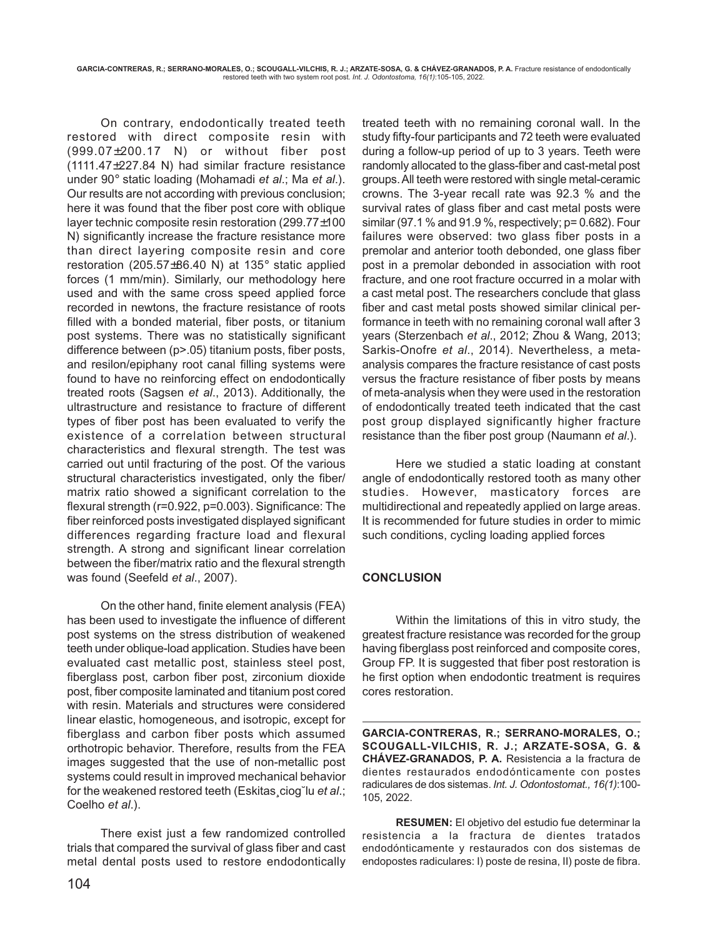On contrary, endodontically treated teeth restored with direct composite resin with (999.07±200.17 N) or without fiber post (1111.47±227.84 N) had similar fracture resistance under 90° static loading (Mohamadi et al.; Ma et al.). Our results are not according with previous conclusion; here it was found that the fiber post core with oblique layer technic composite resin restoration (299.77±100 N) significantly increase the fracture resistance more than direct layering composite resin and core restoration (205.57±86.40 N) at 135° static applied forces (1 mm/min). Similarly, our methodology here used and with the same cross speed applied force recorded in newtons, the fracture resistance of roots filled with a bonded material, fiber posts, or titanium post systems. There was no statistically significant difference between (p>.05) titanium posts, fiber posts, and resilon/epiphany root canal filling systems were found to have no reinforcing effect on endodontically treated roots (Sagsen et al., 2013). Additionally, the ultrastructure and resistance to fracture of different types of fiber post has been evaluated to verify the existence of a correlation between structural characteristics and flexural strength. The test was carried out until fracturing of the post. Of the various structural characteristics investigated, only the fiber/ matrix ratio showed a significant correlation to the flexural strength (r=0.922, p=0.003). Significance: The fiber reinforced posts investigated displayed significant differences regarding fracture load and flexural strength. A strong and significant linear correlation between the fiber/matrix ratio and the flexural strength was found (Seefeld et al., 2007).

On the other hand, finite element analysis (FEA) has been used to investigate the influence of different post systems on the stress distribution of weakened teeth under oblique-load application. Studies have been evaluated cast metallic post, stainless steel post, fiberglass post, carbon fiber post, zirconium dioxide post, fiber composite laminated and titanium post cored with resin. Materials and structures were considered linear elastic, homogeneous, and isotropic, except for fiberglass and carbon fiber posts which assumed orthotropic behavior. Therefore, results from the FEA images suggested that the use of non-metallic post systems could result in improved mechanical behavior for the weakened restored teeth (Eskitas ciog~lu et al.; Coelho et al.).

There exist just a few randomized controlled trials that compared the survival of glass fiber and cast metal dental posts used to restore endodontically

randomly allocated to the glass-fiber and cast-metal post groups. All teeth were restored with single metal-ceramic crowns. The 3-year recall rate was 92.3 % and the survival rates of glass fiber and cast metal posts were similar (97.1 % and 91.9 %, respectively; p= 0.682). Four failures were observed: two glass fiber posts in a premolar and anterior tooth debonded, one glass fiber post in a premolar debonded in association with root fracture, and one root fracture occurred in a molar with a cast metal post. The researchers conclude that glass fiber and cast metal posts showed similar clinical performance in teeth with no remaining coronal wall after 3 years (Sterzenbach et al., 2012; Zhou & Wang, 2013; Sarkis-Onofre et al., 2014). Nevertheless, a metaanalysis compares the fracture resistance of cast posts versus the fracture resistance of fiber posts by means of meta-analysis when they were used in the restoration of endodontically treated teeth indicated that the cast post group displayed significantly higher fracture resistance than the fiber post group (Naumann et al.). Here we studied a static loading at constant angle of endodontically restored tooth as many other studies. However, masticatory forces are multidirectional and repeatedly applied on large areas. It is recommended for future studies in order to mimic

treated teeth with no remaining coronal wall. In the study fifty-four participants and 72 teeth were evaluated during a follow-up period of up to 3 years. Teeth were

## **CONCLUSION**

Within the limitations of this in vitro study, the greatest fracture resistance was recorded for the group having fiberglass post reinforced and composite cores, Group FP. It is suggested that fiber post restoration is he first option when endodontic treatment is requires cores restoration.

such conditions, cycling loading applied forces

**GARCIA-CONTRERAS, R.; SERRANO-MORALES, O.; SCOUGALL-VILCHIS, R. J.; ARZATE-SOSA, G. & CHÁVEZ-GRANADOS, P. A.** Resistencia a la fractura de dientes restaurados endodónticamente con postes radiculares de dos sistemas. Int. J. Odontostomat., 16(1):100- 105, 2022.

**RESUMEN:** El objetivo del estudio fue determinar la resistencia a la fractura de dientes tratados endodónticamente y restaurados con dos sistemas de endopostes radiculares: I) poste de resina, II) poste de fibra.